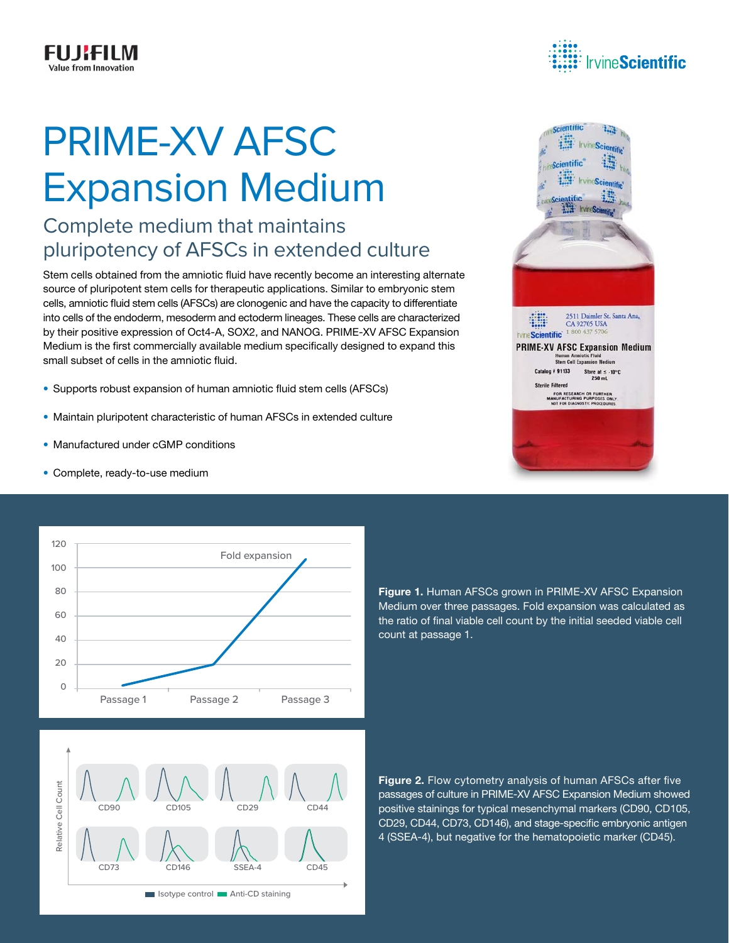# PRIME-XV AFSC Expansion Medium

## Complete medium that maintains pluripotency of AFSCs in extended culture

Stem cells obtained from the amniotic fluid have recently become an interesting alternate source of pluripotent stem cells for therapeutic applications. Similar to embryonic stem cells, amniotic fluid stem cells (AFSCs) are clonogenic and have the capacity to differentiate into cells of the endoderm, mesoderm and ectoderm lineages. These cells are characterized by their positive expression of Oct4-A, SOX2, and NANOG. PRIME-XV AFSC Expansion Medium is the first commercially available medium specifically designed to expand this small subset of cells in the amniotic fluid.

- Supports robust expansion of human amniotic fluid stem cells (AFSCs)
- Maintain pluripotent characteristic of human AFSCs in extended culture
- Manufactured under cGMP conditions
- Complete, ready-to-use medium



Figure 1. Human AFSCs grown in PRIME-XV AFSC Expansion Medium over three passages. Fold expansion was calculated as the ratio of final viable cell count by the initial seeded viable cell count at passage 1.

Figure 2. Flow cytometry analysis of human AFSCs after five passages of culture in PRIME-XV AFSC Expansion Medium showed positive stainings for typical mesenchymal markers (CD90, CD105, CD29, CD44, CD73, CD146), and stage-specific embryonic antigen 4 (SSEA-4), but negative for the hematopoietic marker (CD45).